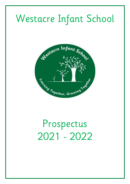# Westacre Infant School



# Prospectus 2021 - 2022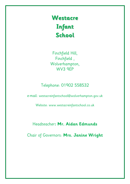**Westacre Infant School**

Finchfield Hill, Finchfield , Wolverhampton, WV3 9EP

# Telephone: 01902 558532

e-mail: westacreinfantschool@wolverhampton.gov.uk

Website: www.westacreinfantschool.co.uk

# Headteacher**: Mr. Aidan Edmunds**

Chair of Governors: **Mrs. Janine Wright**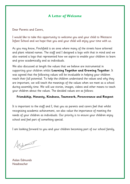# **A Letter of Welcome**

Dear Parents and Carers,

I would like to take this opportunity to welcome you and your child to Westacre Infant School and we hope that you and your child will enjoy your time with us.

As you may know, Finchfield is an area where many of the streets have [arboreal](https://en.wikipedia.org/wiki/Arboreal) and [plant](https://en.wikipedia.org/wiki/Plant) related names. The staff and I designed a logo with that in mind and we also wanted a logo that represented how we aspire to enable your children to learn and grow academically and as individuals.

We also discussed at length the values that we believe are instrumental in supporting your children whilst **Learning Together and Growing Together**. It was agreed that the following values will be invaluable in helping your children reach their full potential. To help the children understand the values and why they are important, we will teach the meanings of the values when we meet as a school during assembly time. We will use stories, images, videos and other means to teach your children about the values. The decided values are as follows:

#### **Friendship, Honesty, Kindness, Teamwork, Perseverance and Respect**

It is important to the staff and I, that you as parents and carers feel that whilst recognising academic achievement, we also value the importance of meeting the needs of your children as individuals. Our priority is to ensure your children enjoy school and feel part of something special.

I am looking forward to you and your children becoming part of our school family,

Edmund

Aidan Edmunds Headteacher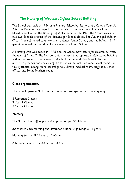# **The History of Westacre Infant School Building**

The School was built in 1954 as a Primary School by Staffordshire County Council. After the Boundary changes in 1966 the School continued as a Junior / Infant Mixed School within the Borough of Wolverhampton. In 1970 the School was split into two Schools because of the demand for School places. The Junior aged children (7 to 11 years) moved to a new site - Uplands Junior School, and the Infants (5 - 7 years) remained on the original site - Westacre Infant School.

A Nursery Unit was added in 1975 and the School now caters for children between the ages of 3 and 7. The Nursery Unit is housed in a separate prefabricated building within the grounds. The generous brick built accommodation is set in its own attractive grounds and consists of 9 classrooms, an inclusion room, cloakrooms and toilet facilities, dining room, assembly hall, library, medical room, staffroom, school office, and Head Teachers room.

# **Class organisation**

The School operates 9 classes and these are arranged in the following way:

3 Reception Classes 3 Year 1 Classes 3 Year 2 Classes

## **Nursery**

The Nursery Unit offers part - time provision for 60 children.

30 children each morning and afternoon session. Age range 3 - 4 years.

Morning Session: 8.45 am to 11.45 am

Afternoon Session: 12.30 pm to 3.30 pm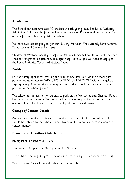## **Admissions**

The School can accommodate 90 children in each year group. The Local Authority Admissions Policy can be found online on our website. Parents wishing to apply for a place for their child may visit the School.

We have two intakes per year for our Nursery Provision. We currently have Autumn Term starts and Summer Term starts.

Children at Westacre usually transfer to Uplands Junior School. If you wish for your child to transfer to a different school after they leave us you will need to apply to the Local Authority School Admissions Team.

# **Parking**

For the safety of children crossing the road immediately outside the School gate, parents are asked not to PARK CARS or DROP CHILDREN OFF within the yellow zig-zag lines painted on the roadway in front of the School and there must be no parking in the School grounds.

The school has permission for parents to park on the Westacres and Chestnut Public House car parks. Please utilise these facilities whenever possible and respect the access rights of local residents and do not park over their driveways.

# **Change of Contact Details**

Any change of address or telephone number after the child has started School should be notified to the School Administrator and also any changes in emergency contact numbers.

# **[Breakfast and Teatime Club Details](https://docs.wixstatic.com/ugd/240391_5a86aa8611f24be48646c6da9b2c828e.pdf)**

Breakfast club opens at 8:00 a.m.

Teatime club is open from 3:30 p.m. until 5:30 p.m.

The clubs are managed by Mr Edmunds and are lead by existing members of staff.

The cost is £4 for each hour the children stay in club.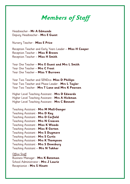# **Members of Staff**

Headteacher **- Mr A Edmunds** Deputy Headteacher **- Mrs E Guest**

Nursery Teacher - **Miss E Price**

Reception Teacher and Early Years Leader – **Miss H Cooper** Reception Teacher – **Miss R Brown** Reception Teacher – **Miss H Smith**

Year One Teacher – **Mrs E Guest and Mrs L Smith** Year One Teacher – **Mrs C Frost** Year One Teacher – **Miss Y Burrows**

Year Two Teacher and SENDco- **Miss D Phillips**  Year Two Teacher and Phase Leader - **Mrs L Taylor** Year Two Teacher - **Mrs T Lane and Mrs K Pearson**

Higher Level Teaching Assistant - **Mrs D Edwards** Higher Level Teaching Assistant - **Mrs A Hickman** Higher Level Teaching Assistant - **Mrs C Bennett**

Teaching Assistant - **Mrs M Mall-Ganger** Teaching Assistant - **Mrs D Kay**  Teaching Assistant - **Mrs D Corfield** Teaching Assistant - **Mrs N Creaven** Teaching Assistant - **Miss K Woods** Teaching Assistant - **Miss R Gorton** Teaching Assistant - **Mrs S Dugmore** Teaching Assistant - **Mrs S Curtis** Teaching Assistant - **Mrs K Thompson**  Teaching Assistant - **Mrs S Dewsbury** Teaching Assistant – **Mrs N Takhar**  Office Staff Business Manager - **Mrs K Bateman** School Administrator **- Mrs J Laurie**

Receptionist **- Mrs S Hinett**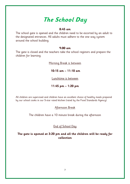# **The School Day**

#### **8:45 am**

The school gate is opened and the children need to be escorted by an adult to the designated entrances. All adults must adhere to the one way system around the school building.

#### **9:00 am**

The gate is closed and the teachers take the school registers and prepare the children for learning.

Morning Break is between

**10:15 am – 11:10 am**

Lunchtime is between

**11:45 pm – 1:20 pm**

All children are supervised and children have an excellent choice of healthy meals prepared by our school cooks in our 5-star rated kitchen (rated by the Food Standards Agency).

Afternoon Break

The children have a 10 minute break during the afternoon

End of School Day

**The gate is opened at 3:20 pm and all the children will be ready for collection**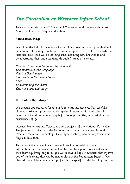# **The Curriculum at Westacre Infant School**

Teachers plan using the 2014 National Curriculum and the Wolverhampton Agreed Syllabus for Religious Education.

## **Foundation Stage**

We follow the EYFS Framework which explains how and what your child will be learning. It is very flexible so it can be adapted to the children's needs and interests. Your child will be learning skills, acquiring new knowledge and demonstrating their understanding through 7 areas of learning.

Personal, Social and Emotional Development Communication and Language Physical Development Literacy (RWI Synthetic Phonics) Maths Understanding the World Expressive arts and design

# **Curriculum Key Stage 1**

We provide opportunities for all pupils to learn and achieve. Our carefully planned curriculum promotes pupils' spiritual, moral, social and cultural development and prepares all pupils for the opportunities, responsibilities and experiences of life.

Literacy, Numeracy and Science are core subjects of the National Curriculum. The foundation subjects of the National Curriculum are Science, Art and Design, Design and Technology, Geography, History, Computing, Music and Physical Education.

Throughout the academic year, we will provide you with a range of information and resources that will enable you to support your children with their learning. Every half term, you will receive a Topic Newsletter that informs you of the learning that will be taking place in the Foundation Subjects. We also ask the children complete a project that is specific to the learning that they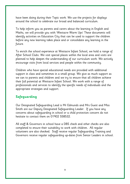have been doing during their Topic work. We use the projects for displays around the school to celebrate our broad and balanced curriculum.

To help inform you as parents and carers about the learning in English and Maths, we will provide you with 'Westacre Warm Ups' These documents will identify activities on Education City that can be used to support the children before any new learning takes place and or consolidate any learning in the future.

To enrich the school experience at Westacre Infant School, we hold a range of After School Clubs. We visit special places within the local area and visits are planned to help deepen the understanding of our curriculum work. We actively encourage visits from local services and people within the community.

Children who have special educational needs are provided with additional support in class and sometimes in a small group. We give as much support as we can to parents and children and we try to ensure that all children achieve their full potential at Westacre Infant School. We work with a range of professionals and services to identify the specific needs of individuals and the appropriate strategies and support.

# **Safeguarding**

Our Designated Safeguarding Lead is Mr Edmunds and Mrs Guest and Miss Smith are our Deputy Designated Safeguarding Leader. If you have any concerns about safeguarding in school or a child protection concern do not hesitate to contact them on 01902 558532.

All staff & Governors in school have a DBS check and other checks are also completed to ensure their suitability to work with children. All regular volunteers are also checked. Staff receive regular Safeguarding Training and Governors receive regular safeguarding up-dates from Senior Leaders in school.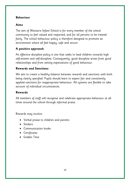# **Behaviour**

# **Aims**

The aim of Westacre Infant School is for every member of the school community to feel valued and respected, and for all persons to be treated fairly. The school behaviour policy is therefore designed to promote an environment where all feel happy, safe and secure.

# **A positive approach**

An effective discipline policy is one that seeks to lead children towards high self-esteem and self-discipline. Consequently, good discipline arises from good relationships and from setting expectations of good behaviour.

# **Rewards and Sanctions**

We aim to create a healthy balance between rewards and sanctions with both being clearly specified. Pupils should learn to expect fair and consistently applied sanctions for inappropriate behaviour. All systems are flexible to take account of individual circumstances.

# **Rewards**

All members of staff will recognise and celebrate appropriate behaviour at all times around the school through informal praise.

Rewards may involve:

- Verbal praise to children and parents
- Stickers
- Communication books
- Certificates
- Golden Time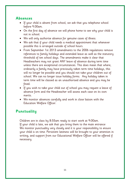# **Absences**

- If your child is absent from school, we ask that you telephone school before 9.00am.
- On the first day of absence we will phone home to see why your child is not in school.
- We will only authorise absence for genuine cases of illness.
- We ask that if your child needs a medical appointment that whenever possible this is arranged outside of school hours.
- From September 1st 2013 amendments to the 2006 regulations remove references to family holidays and extended leave as well as the statutory threshold of ten school days. The amendments make it clear that Headteachers may not grant ANY leave of absence during term time unless there are exceptional circumstances. This does mean that where, ordinarily a family may have previously taken term time holidays, this will no longer be possible and you should not take your children out of school. We can no longer issue holiday forms. Any holiday taken in term time will be classed as an unauthorised absence and you may be fined.
- If you wish to take your child out of school you may request a leave of absence form and the Headteacher will assess each case on its own merits.
- We monitor absences carefully and work in close liaison with the Education Welfare Officer.

# **Punctuality**

Children are in class by 8:55am ready to start work at 9:00am. If your child is late, we ask that you bring them to the main entrance We monitor punctuality very closely and it is your responsibility to ensure your child is on time. Persistent lateness will be brought to your attention in writing, and support from our Educational Welfare Officer will be offered if necessary.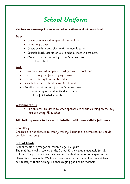# **School Uniform**

#### **Children are encouraged to wear our school uniform and this consists of;**

# **Boys**

- Green crew necked jumper with school logo
- Long grey trousers
- Green or white polo shirt with the new logo on
- Sensible black lace up or velcro school shoes (no trainers)
- (Weather permitting not just the Summer Term) o Grey shorts

# **Girls**

- Green crew necked jumper or cardigan with school logo
- Grey skirt/grey pinafore or grey trousers
- Grey or green tights or white socks
- Sensible low heeled black shoes (no boots)
- (Weather permitting not just the Summer Term)
	- o Summer green and white dress check
	- o Black flat heeled sandals

# **Clothing for PE**

 The children are asked to wear appropriate sports clothing on the day they are doing PE in school

# **All clothing needs to be clearly labelled with your child's full name**

# **Jewellery**

Children are not allowed to wear jewellery. Earrings are permitted but should be plain studs only.

# **School Meals**

School Meals are free for all children age 4-7 years.

The mid-day meal is cooked in the School Kitchen and is available for all children. They do not have a choice but for children who are vegetarian, an alternative is available. We have three dinner sittings enabling the children to eat politely without rushing, so encouraging good table manners.